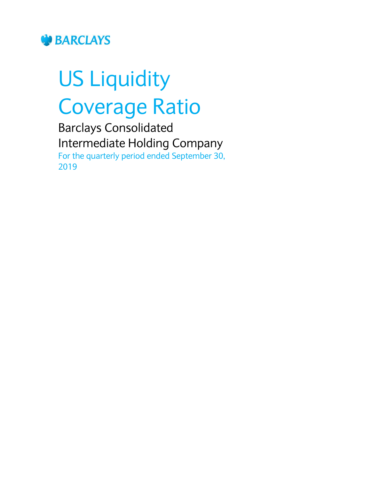

# US Liquidity Coverage Ratio

Barclays Consolidated Intermediate Holding Company For the quarterly period ended September 30, 2019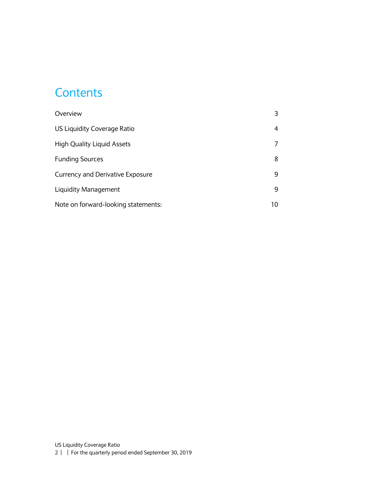#### **Contents**

| Overview                                |    |
|-----------------------------------------|----|
| US Liquidity Coverage Ratio             | 4  |
| <b>High Quality Liquid Assets</b>       |    |
| <b>Funding Sources</b>                  | 8  |
| <b>Currency and Derivative Exposure</b> | 9  |
| Liquidity Management                    | 9  |
| Note on forward-looking statements:     | 10 |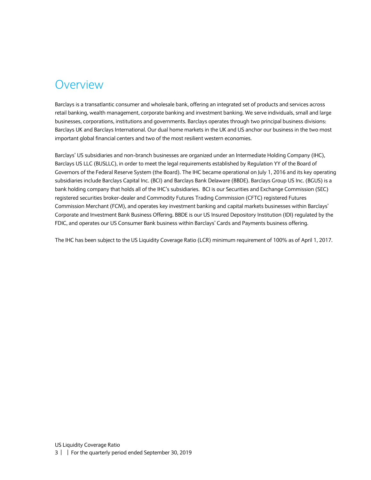#### <span id="page-2-0"></span>Overview

Barclays is a transatlantic consumer and wholesale bank, offering an integrated set of products and services across retail banking, wealth management, corporate banking and investment banking. We serve individuals, small and large businesses, corporations, institutions and governments. Barclays operates through two principal business divisions: Barclays UK and Barclays International. Our dual home markets in the UK and US anchor our business in the two most important global financial centers and two of the most resilient western economies.

Barclays' US subsidiaries and non-branch businesses are organized under an Intermediate Holding Company (IHC), Barclays US LLC (BUSLLC), in order to meet the legal requirements established by Regulation YY of the Board of Governors of the Federal Reserve System (the Board). The IHC became operational on July 1, 2016 and its key operating subsidiaries include Barclays Capital Inc. (BCI) and Barclays Bank Delaware (BBDE). Barclays Group US Inc. (BGUS) is a bank holding company that holds all of the IHC's subsidiaries. BCI is our Securities and Exchange Commission (SEC) registered securities broker-dealer and Commodity Futures Trading Commission (CFTC) registered Futures Commission Merchant (FCM), and operates key investment banking and capital markets businesses within Barclays' Corporate and Investment Bank Business Offering. BBDE is our US Insured Depository Institution (IDI) regulated by the FDIC, and operates our US Consumer Bank business within Barclays' Cards and Payments business offering.

The IHC has been subject to the US Liquidity Coverage Ratio (LCR) minimum requirement of 100% as of April 1, 2017.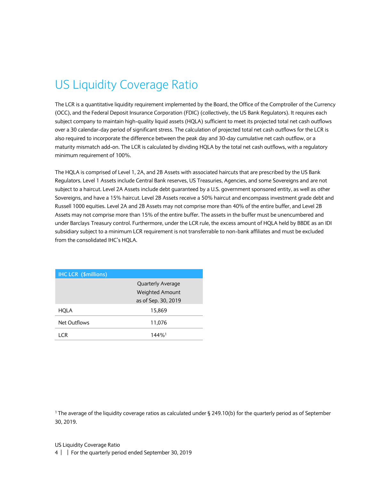## <span id="page-3-0"></span>US Liquidity Coverage Ratio

The LCR is a quantitative liquidity requirement implemented by the Board, the Office of the Comptroller of the Currency (OCC), and the Federal Deposit Insurance Corporation (FDIC) (collectively, the US Bank Regulators). It requires each subject company to maintain high-quality liquid assets (HQLA) sufficient to meet its projected total net cash outflows over a 30 calendar-day period of significant stress. The calculation of projected total net cash outflows for the LCR is also required to incorporate the difference between the peak day and 30-day cumulative net cash outflow, or a maturity mismatch add-on. The LCR is calculated by dividing HQLA by the total net cash outflows, with a regulatory minimum requirement of 100%.

The HQLA is comprised of Level 1, 2A, and 2B Assets with associated haircuts that are prescribed by the US Bank Regulators. Level 1 Assets include Central Bank reserves, US Treasuries, Agencies, and some Sovereigns and are not subject to a haircut. Level 2A Assets include debt guaranteed by a U.S. government sponsored entity, as well as other Sovereigns, and have a 15% haircut. Level 2B Assets receive a 50% haircut and encompass investment grade debt and Russell 1000 equities. Level 2A and 2B Assets may not comprise more than 40% of the entire buffer, and Level 2B Assets may not comprise more than 15% of the entire buffer. The assets in the buffer must be unencumbered and under Barclays Treasury control. Furthermore, under the LCR rule, the excess amount of HQLA held by BBDE as an IDI subsidiary subject to a minimum LCR requirement is not transferrable to non-bank affiliates and must be excluded from the consolidated IHC's HQLA.

| <b>IHC LCR (\$millions)</b> |                          |
|-----------------------------|--------------------------|
|                             | <b>Quarterly Average</b> |
|                             | <b>Weighted Amount</b>   |
|                             | as of Sep. 30, 2019      |
| HQLA                        | 15,869                   |
| Net Outflows                | 11,076                   |
| I CR                        | $144\%$ <sup>1</sup>     |

<sup>1</sup> The average of the liquidity coverage ratios as calculated under § 249.10(b) for the quarterly period as of September 30, 2019.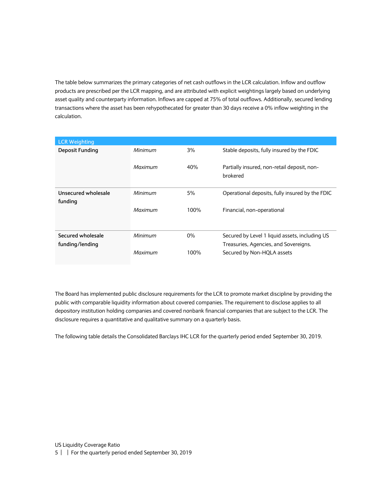The table below summarizes the primary categories of net cash outflows in the LCR calculation. Inflow and outflow products are prescribed per the LCR mapping, and are attributed with explicit weightings largely based on underlying asset quality and counterparty information. Inflows are capped at 75% of total outflows. Additionally, secured lending transactions where the asset has been rehypothecated for greater than 30 days receive a 0% inflow weighting in the calculation.

| <b>LCR Weighting</b>   |         |       |                                                         |
|------------------------|---------|-------|---------------------------------------------------------|
| <b>Deposit Funding</b> | Minimum | 3%    | Stable deposits, fully insured by the FDIC              |
|                        | Maximum | 40%   | Partially insured, non-retail deposit, non-<br>brokered |
| Unsecured wholesale    | Minimum | 5%    | Operational deposits, fully insured by the FDIC         |
| funding                | Maximum | 100%  | Financial, non-operational                              |
| Secured wholesale      | Minimum | $0\%$ | Secured by Level 1 liquid assets, including US          |
| funding/lending        |         |       | Treasuries, Agencies, and Sovereigns.                   |
|                        | Maximum | 100%  | Secured by Non-HQLA assets                              |

The Board has implemented public disclosure requirements for the LCR to promote market discipline by providing the public with comparable liquidity information about covered companies. The requirement to disclose applies to all depository institution holding companies and covered nonbank financial companies that are subject to the LCR. The disclosure requires a quantitative and qualitative summary on a quarterly basis.

The following table details the Consolidated Barclays IHC LCR for the quarterly period ended September 30, 2019.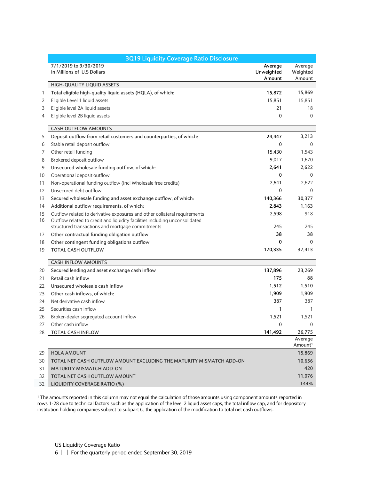|    | <b>3Q19 Liquidity Coverage Ratio Disclosure</b>                             |                                 |                                |
|----|-----------------------------------------------------------------------------|---------------------------------|--------------------------------|
|    | 7/1/2019 to 9/30/2019<br>In Millions of U.S Dollars                         | Average<br>Unweighted<br>Amount | Average<br>Weighted<br>Amount  |
|    | HIGH-QUALITY LIQUID ASSETS                                                  |                                 |                                |
| 1  | Total eligible high-quality liquid assets (HQLA), of which:                 | 15,872                          | 15,869                         |
| 2  | Eligible Level 1 liquid assets                                              | 15,851                          | 15,851                         |
| 3  | Eligible level 2A liquid assets                                             | 21                              | 18                             |
| 4  | Eligible level 2B liquid assets                                             | $\mathbf 0$                     | $\Omega$                       |
|    | <b>CASH OUTFLOW AMOUNTS</b>                                                 |                                 |                                |
| 5  | Deposit outflow from retail customers and counterparties, of which:         | 24,447                          | 3,213                          |
| 6  | Stable retail deposit outflow                                               | $\mathbf{0}$                    | $\Omega$                       |
| 7  | Other retail funding                                                        | 15,430                          | 1,543                          |
| 8  | Brokered deposit outflow                                                    | 9,017                           | 1,670                          |
| 9  | Unsecured wholesale funding outflow, of which:                              | 2,641                           | 2,622                          |
| 10 | Operational deposit outflow                                                 | 0                               | $\Omega$                       |
| 11 | Non-operational funding outflow (incl Wholesale free credits)               | 2,641                           | 2,622                          |
| 12 | Unsecured debt outflow                                                      | 0                               | $\mathbf{0}$                   |
| 13 | Secured wholesale funding and asset exchange outflow, of which:             | 140,366                         | 30,377                         |
| 14 | Additional outflow requirements, of which:                                  | 2,843                           | 1,163                          |
| 15 | Outflow related to derivative exposures and other collateral requirements   | 2,598                           | 918                            |
| 16 | Outflow related to credit and liquidity facilities including unconsolidated |                                 |                                |
|    | structured transactions and mortgage commitments                            | 245                             | 245                            |
| 17 | Other contractual funding obligation outflow                                | 38                              | 38                             |
| 18 | Other contingent funding obligations outflow                                | 0                               | 0                              |
| 19 | <b>TOTAL CASH OUTFLOW</b>                                                   | 170,335                         | 37,413                         |
|    | <b>CASH INFLOW AMOUNTS</b>                                                  |                                 |                                |
| 20 | Secured lending and asset exchange cash inflow                              | 137,896                         | 23,269                         |
| 21 | Retail cash inflow                                                          | 175                             | 88                             |
| 22 | Unsecured wholesale cash inflow                                             | 1,512                           | 1,510                          |
| 23 | Other cash inflows, of which:                                               | 1,909                           | 1,909                          |
| 24 | Net derivative cash inflow                                                  | 387                             | 387                            |
| 25 | Securities cash inflow                                                      | 1                               | 1                              |
| 26 | Broker-dealer segregated account inflow                                     | 1,521                           | 1,521                          |
| 27 | Other cash inflow                                                           | $\Omega$                        | $\Omega$                       |
| 28 | TOTAL CASH INFLOW                                                           | 141,492                         | 26,775                         |
|    |                                                                             |                                 | Average<br>Amount <sup>1</sup> |
| 29 | <b>HQLA AMOUNT</b>                                                          |                                 | 15,869                         |
| 30 | TOTAL NET CASH OUTFLOW AMOUNT EXCLUDING THE MATURITY MISMATCH ADD-ON        |                                 | 10,656                         |
| 31 | <b>MATURITY MISMATCH ADD-ON</b>                                             |                                 | 420                            |
| 32 | TOTAL NET CASH OUTFLOW AMOUNT                                               |                                 | 11,076                         |
| 32 | LIQUIDITY COVERAGE RATIO (%)                                                |                                 | 144%                           |

<sup>1</sup> The amounts reported in this column may not equal the calculation of those amounts using component amounts reported in rows 1-28 due to technical factors such as the application of the level 2 liquid asset caps, the total inflow cap, and for depository institution holding companies subject to subpart G, the application of the modification to total net cash outflows.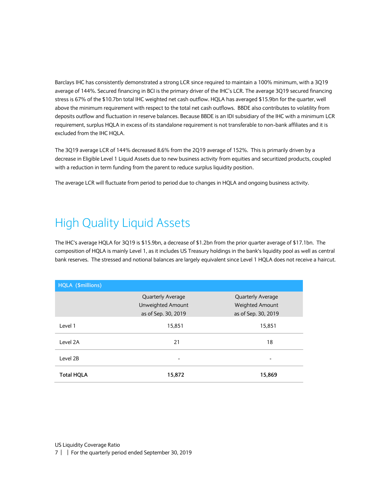Barclays IHC has consistently demonstrated a strong LCR since required to maintain a 100% minimum, with a 3Q19 average of 144%. Secured financing in BCI is the primary driver of the IHC's LCR. The average 3Q19 secured financing stress is 67% of the \$10.7bn total IHC weighted net cash outflow. HQLA has averaged \$15.9bn for the quarter, well above the minimum requirement with respect to the total net cash outflows. BBDE also contributes to volatility from deposits outflow and fluctuation in reserve balances. Because BBDE is an IDI subsidiary of the IHC with a minimum LCR requirement, surplus HQLA in excess of its standalone requirement is not transferable to non-bank affiliates and it is excluded from the IHC HQLA.

The 3Q19 average LCR of 144% decreased 8.6% from the 2Q19 average of 152%. This is primarily driven by a decrease in Eligible Level 1 Liquid Assets due to new business activity from equities and securitized products, coupled with a reduction in term funding from the parent to reduce surplus liquidity position.

The average LCR will fluctuate from period to period due to changes in HQLA and ongoing business activity.

#### <span id="page-6-0"></span>High Quality Liquid Assets

The IHC's average HQLA for 3Q19 is \$15.9bn, a decrease of \$1.2bn from the prior quarter average of \$17.1bn. The composition of HQLA is mainly Level 1, as it includes US Treasury holdings in the bank's liquidity pool as well as central bank reserves. The stressed and notional balances are largely equivalent since Level 1 HQLA does not receive a haircut.

| HQLA (\$millions) |                          |                          |  |
|-------------------|--------------------------|--------------------------|--|
|                   | <b>Quarterly Average</b> | <b>Quarterly Average</b> |  |
|                   | Unweighted Amount        | <b>Weighted Amount</b>   |  |
|                   | as of Sep. 30, 2019      | as of Sep. 30, 2019      |  |
| Level 1           | 15,851                   | 15,851                   |  |
| Level 2A          | 21                       | 18                       |  |
| Level 2B          |                          |                          |  |
| <b>Total HQLA</b> | 15,872                   | 15,869                   |  |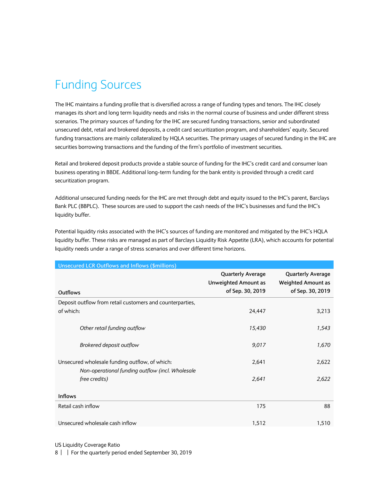## <span id="page-7-0"></span>Funding Sources

The IHC maintains a funding profile that is diversified across a range of funding types and tenors. The IHC closely manages its short and long term liquidity needs and risks in the normal course of business and under different stress scenarios. The primary sources of funding for the IHC are secured funding transactions, senior and subordinated unsecured debt, retail and brokered deposits, a credit card securitization program, and shareholders' equity. Secured funding transactions are mainly collateralized by HQLA securities. The primary usages of secured funding in the IHC are securities borrowing transactions and the funding of the firm's portfolio of investment securities.

Retail and brokered deposit products provide a stable source of funding for the IHC's credit card and consumer loan business operating in BBDE. Additional long-term funding for the bank entity is provided through a credit card securitization program.

Additional unsecured funding needs for the IHC are met through debt and equity issued to the IHC's parent, Barclays Bank PLC (BBPLC). These sources are used to support the cash needs of the IHC's businesses and fund the IHC's liquidity buffer.

Potential liquidity risks associated with the IHC's sources of funding are monitored and mitigated by the IHC's HQLA liquidity buffer. These risks are managed as part of Barclays Liquidity Risk Appetite (LRA), which accounts for potential liquidity needs under a range of stress scenarios and over different time horizons.

| <b>Unsecured LCR Outflows and Inflows (\$millions)</b>                                             |                                                                             |                                                                           |
|----------------------------------------------------------------------------------------------------|-----------------------------------------------------------------------------|---------------------------------------------------------------------------|
| Outflows                                                                                           | <b>Quarterly Average</b><br><b>Unweighted Amount as</b><br>of Sep. 30, 2019 | <b>Quarterly Average</b><br><b>Weighted Amount as</b><br>of Sep. 30, 2019 |
| Deposit outflow from retail customers and counterparties,                                          |                                                                             |                                                                           |
| of which:                                                                                          | 24,447                                                                      | 3,213                                                                     |
| Other retail funding outflow                                                                       | 15,430                                                                      | 1,543                                                                     |
| Brokered deposit outflow                                                                           | 9,017                                                                       | 1,670                                                                     |
| Unsecured wholesale funding outflow, of which:<br>Non-operational funding outflow (incl. Wholesale | 2,641                                                                       | 2,622                                                                     |
| free credits)                                                                                      | 2,641                                                                       | 2,622                                                                     |
| <b>Inflows</b>                                                                                     |                                                                             |                                                                           |
| Retail cash inflow                                                                                 | 175                                                                         | 88                                                                        |
| Unsecured wholesale cash inflow                                                                    | 1,512                                                                       | 1,510                                                                     |

US Liquidity Coverage Ratio

8 | | For the quarterly period ended September 30, 2019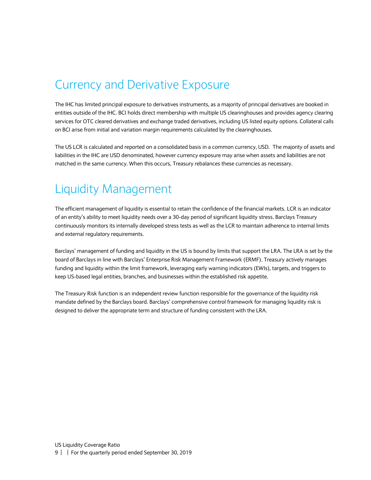#### <span id="page-8-0"></span>Currency and Derivative Exposure

The IHC has limited principal exposure to derivatives instruments, as a majority of principal derivatives are booked in entities outside of the IHC. BCI holds direct membership with multiple US clearinghouses and provides agency clearing services for OTC cleared derivatives and exchange traded derivatives, including US listed equity options. Collateral calls on BCI arise from initial and variation margin requirements calculated by the clearinghouses.

The US LCR is calculated and reported on a consolidated basis in a common currency, USD. The majority of assets and liabilities in the IHC are USD denominated, however currency exposure may arise when assets and liabilities are not matched in the same currency. When this occurs, Treasury rebalances these currencies as necessary.

#### <span id="page-8-1"></span>Liquidity Management

The efficient management of liquidity is essential to retain the confidence of the financial markets. LCR is an indicator of an entity's ability to meet liquidity needs over a 30-day period of significant liquidity stress. Barclays Treasury continuously monitors its internally developed stress tests as well as the LCR to maintain adherence to internal limits and external regulatory requirements.

Barclays' management of funding and liquidity in the US is bound by limits that support the LRA. The LRA is set by the board of Barclays in line with Barclays' Enterprise Risk Management Framework (ERMF). Treasury actively manages funding and liquidity within the limit framework, leveraging early warning indicators (EWIs), targets, and triggers to keep US-based legal entities, branches, and businesses within the established risk appetite.

The Treasury Risk function is an independent review function responsible for the governance of the liquidity risk mandate defined by the Barclays board. Barclays' comprehensive control framework for managing liquidity risk is designed to deliver the appropriate term and structure of funding consistent with the LRA.